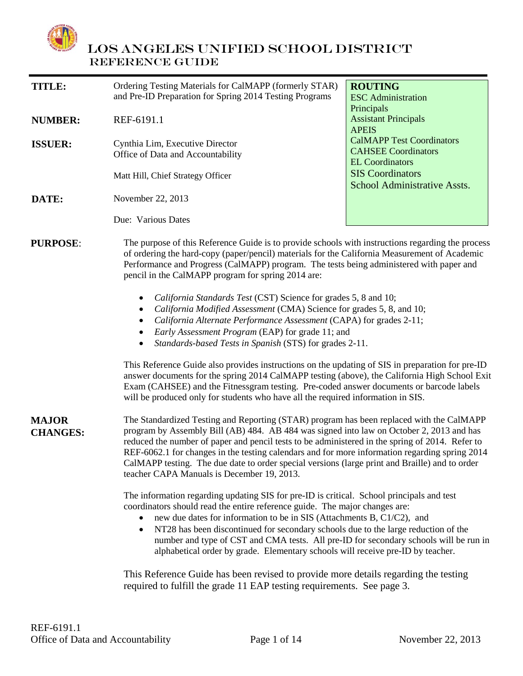

| <b>TITLE:</b>   | Ordering Testing Materials for CalMAPP (formerly STAR)                                                                                                                                                                                                                                                                                                                                                                                                                                                                                                                                                                                                                                                                                                                                                                                         | <b>ROUTING</b>                   |  |
|-----------------|------------------------------------------------------------------------------------------------------------------------------------------------------------------------------------------------------------------------------------------------------------------------------------------------------------------------------------------------------------------------------------------------------------------------------------------------------------------------------------------------------------------------------------------------------------------------------------------------------------------------------------------------------------------------------------------------------------------------------------------------------------------------------------------------------------------------------------------------|----------------------------------|--|
|                 | and Pre-ID Preparation for Spring 2014 Testing Programs                                                                                                                                                                                                                                                                                                                                                                                                                                                                                                                                                                                                                                                                                                                                                                                        | <b>ESC</b> Administration        |  |
|                 |                                                                                                                                                                                                                                                                                                                                                                                                                                                                                                                                                                                                                                                                                                                                                                                                                                                | Principals                       |  |
| <b>NUMBER:</b>  | REF-6191.1                                                                                                                                                                                                                                                                                                                                                                                                                                                                                                                                                                                                                                                                                                                                                                                                                                     | <b>Assistant Principals</b>      |  |
|                 |                                                                                                                                                                                                                                                                                                                                                                                                                                                                                                                                                                                                                                                                                                                                                                                                                                                | <b>APEIS</b>                     |  |
|                 |                                                                                                                                                                                                                                                                                                                                                                                                                                                                                                                                                                                                                                                                                                                                                                                                                                                | <b>CalMAPP Test Coordinators</b> |  |
| <b>ISSUER:</b>  | Cynthia Lim, Executive Director<br>Office of Data and Accountability                                                                                                                                                                                                                                                                                                                                                                                                                                                                                                                                                                                                                                                                                                                                                                           | <b>CAHSEE Coordinators</b>       |  |
|                 |                                                                                                                                                                                                                                                                                                                                                                                                                                                                                                                                                                                                                                                                                                                                                                                                                                                | <b>EL Coordinators</b>           |  |
|                 | Matt Hill, Chief Strategy Officer                                                                                                                                                                                                                                                                                                                                                                                                                                                                                                                                                                                                                                                                                                                                                                                                              | <b>SIS Coordinators</b>          |  |
|                 |                                                                                                                                                                                                                                                                                                                                                                                                                                                                                                                                                                                                                                                                                                                                                                                                                                                | School Administrative Assts.     |  |
|                 |                                                                                                                                                                                                                                                                                                                                                                                                                                                                                                                                                                                                                                                                                                                                                                                                                                                |                                  |  |
| DATE:           | November 22, 2013                                                                                                                                                                                                                                                                                                                                                                                                                                                                                                                                                                                                                                                                                                                                                                                                                              |                                  |  |
|                 |                                                                                                                                                                                                                                                                                                                                                                                                                                                                                                                                                                                                                                                                                                                                                                                                                                                |                                  |  |
|                 | Due: Various Dates                                                                                                                                                                                                                                                                                                                                                                                                                                                                                                                                                                                                                                                                                                                                                                                                                             |                                  |  |
|                 | of ordering the hard-copy (paper/pencil) materials for the California Measurement of Academic<br>Performance and Progress (CalMAPP) program. The tests being administered with paper and<br>pencil in the CalMAPP program for spring 2014 are:<br>California Standards Test (CST) Science for grades 5, 8 and 10;<br>$\bullet$<br>California Modified Assessment (CMA) Science for grades 5, 8, and 10;<br>٠<br>California Alternate Performance Assessment (CAPA) for grades 2-11;<br>$\bullet$<br>Early Assessment Program (EAP) for grade 11; and<br>$\bullet$<br>Standards-based Tests in Spanish (STS) for grades 2-11.<br>$\bullet$<br>This Reference Guide also provides instructions on the updating of SIS in preparation for pre-ID<br>answer documents for the spring 2014 CalMAPP testing (above), the California High School Exit |                                  |  |
| <b>MAJOR</b>    | Exam (CAHSEE) and the Fitnessgram testing. Pre-coded answer documents or barcode labels<br>will be produced only for students who have all the required information in SIS.<br>The Standardized Testing and Reporting (STAR) program has been replaced with the CalMAPP                                                                                                                                                                                                                                                                                                                                                                                                                                                                                                                                                                        |                                  |  |
| <b>CHANGES:</b> | program by Assembly Bill (AB) 484. AB 484 was signed into law on October 2, 2013 and has<br>reduced the number of paper and pencil tests to be administered in the spring of 2014. Refer to<br>REF-6062.1 for changes in the testing calendars and for more information regarding spring 2014<br>CalMAPP testing. The due date to order special versions (large print and Braille) and to order<br>teacher CAPA Manuals is December 19, 2013.                                                                                                                                                                                                                                                                                                                                                                                                  |                                  |  |
|                 | The information regarding updating SIS for pre-ID is critical. School principals and test                                                                                                                                                                                                                                                                                                                                                                                                                                                                                                                                                                                                                                                                                                                                                      |                                  |  |

- coordinators should read the entire reference guide. The major changes are: • new due dates for information to be in SIS (Attachments B, C1/C2), and
	-
	- NT28 has been discontinued for secondary schools due to the large reduction of the number and type of CST and CMA tests. All pre-ID for secondary schools will be run in alphabetical order by grade. Elementary schools will receive pre-ID by teacher.

This Reference Guide has been revised to provide more details regarding the testing required to fulfill the grade 11 EAP testing requirements. See page 3.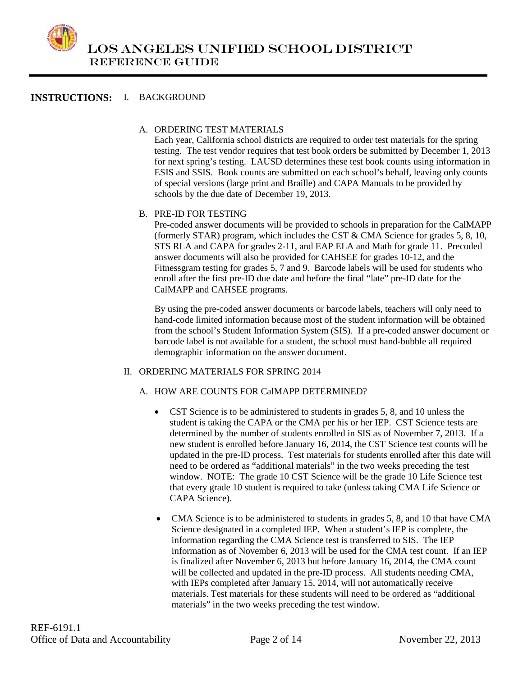

# **INSTRUCTIONS:** I. BACKGROUND

# A. ORDERING TEST MATERIALS

Each year, California school districts are required to order test materials for the spring testing. The test vendor requires that test book orders be submitted by December 1, 2013 for next spring's testing. LAUSD determines these test book counts using information in ESIS and SSIS. Book counts are submitted on each school's behalf, leaving only counts of special versions (large print and Braille) and CAPA Manuals to be provided by schools by the due date of December 19, 2013.

# B. PRE-ID FOR TESTING

Pre-coded answer documents will be provided to schools in preparation for the CalMAPP (formerly STAR) program, which includes the CST & CMA Science for grades 5, 8, 10, STS RLA and CAPA for grades 2-11, and EAP ELA and Math for grade 11. Precoded answer documents will also be provided for CAHSEE for grades 10-12, and the Fitnessgram testing for grades 5, 7 and 9. Barcode labels will be used for students who enroll after the first pre-ID due date and before the final "late" pre-ID date for the CalMAPP and CAHSEE programs.

By using the pre-coded answer documents or barcode labels, teachers will only need to hand-code limited information because most of the student information will be obtained from the school's Student Information System (SIS). If a pre-coded answer document or barcode label is not available for a student, the school must hand-bubble all required demographic information on the answer document.

# II. ORDERING MATERIALS FOR SPRING 2014

# A. HOW ARE COUNTS FOR CalMAPP DETERMINED?

- CST Science is to be administered to students in grades 5, 8, and 10 unless the student is taking the CAPA or the CMA per his or her IEP. CST Science tests are determined by the number of students enrolled in SIS as of November 7, 2013. If a new student is enrolled before January 16, 2014, the CST Science test counts will be updated in the pre-ID process. Test materials for students enrolled after this date will need to be ordered as "additional materials" in the two weeks preceding the test window. NOTE: The grade 10 CST Science will be the grade 10 Life Science test that every grade 10 student is required to take (unless taking CMA Life Science or CAPA Science).
- CMA Science is to be administered to students in grades 5, 8, and 10 that have CMA Science designated in a completed IEP. When a student's IEP is complete, the information regarding the CMA Science test is transferred to SIS. The IEP information as of November 6, 2013 will be used for the CMA test count. If an IEP is finalized after November 6, 2013 but before January 16, 2014, the CMA count will be collected and updated in the pre-ID process. All students needing CMA, with IEPs completed after January 15, 2014, will not automatically receive materials. Test materials for these students will need to be ordered as "additional materials" in the two weeks preceding the test window.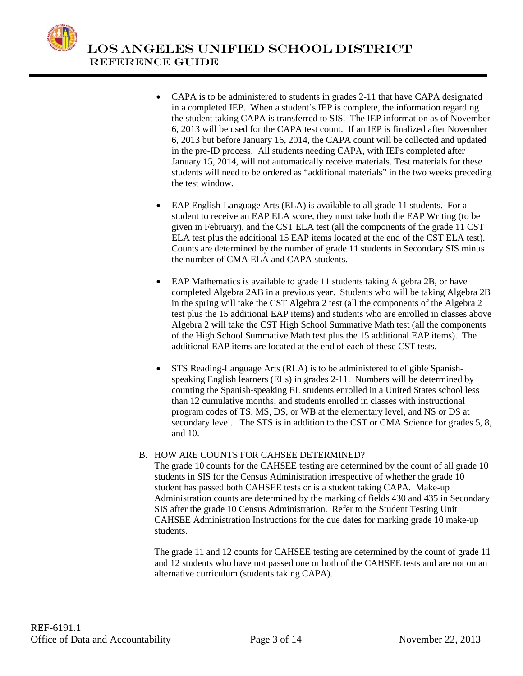

- CAPA is to be administered to students in grades 2-11 that have CAPA designated in a completed IEP. When a student's IEP is complete, the information regarding the student taking CAPA is transferred to SIS. The IEP information as of November 6, 2013 will be used for the CAPA test count. If an IEP is finalized after November 6, 2013 but before January 16, 2014, the CAPA count will be collected and updated in the pre-ID process. All students needing CAPA, with IEPs completed after January 15, 2014, will not automatically receive materials. Test materials for these students will need to be ordered as "additional materials" in the two weeks preceding the test window.
- EAP English-Language Arts (ELA) is available to all grade 11 students. For a student to receive an EAP ELA score, they must take both the EAP Writing (to be given in February), and the CST ELA test (all the components of the grade 11 CST ELA test plus the additional 15 EAP items located at the end of the CST ELA test). Counts are determined by the number of grade 11 students in Secondary SIS minus the number of CMA ELA and CAPA students.
- EAP Mathematics is available to grade 11 students taking Algebra 2B, or have completed Algebra 2AB in a previous year. Students who will be taking Algebra 2B in the spring will take the CST Algebra 2 test (all the components of the Algebra 2 test plus the 15 additional EAP items) and students who are enrolled in classes above Algebra 2 will take the CST High School Summative Math test (all the components of the High School Summative Math test plus the 15 additional EAP items). The additional EAP items are located at the end of each of these CST tests.
- STS Reading-Language Arts (RLA) is to be administered to eligible Spanishspeaking English learners (ELs) in grades 2-11. Numbers will be determined by counting the Spanish-speaking EL students enrolled in a United States school less than 12 cumulative months; and students enrolled in classes with instructional program codes of TS, MS, DS, or WB at the elementary level, and NS or DS at secondary level. The STS is in addition to the CST or CMA Science for grades 5, 8, and 10.

# B. HOW ARE COUNTS FOR CAHSEE DETERMINED?

The grade 10 counts for the CAHSEE testing are determined by the count of all grade 10 students in SIS for the Census Administration irrespective of whether the grade 10 student has passed both CAHSEE tests or is a student taking CAPA. Make-up Administration counts are determined by the marking of fields 430 and 435 in Secondary SIS after the grade 10 Census Administration. Refer to the Student Testing Unit CAHSEE Administration Instructions for the due dates for marking grade 10 make-up students.

The grade 11 and 12 counts for CAHSEE testing are determined by the count of grade 11 and 12 students who have not passed one or both of the CAHSEE tests and are not on an alternative curriculum (students taking CAPA).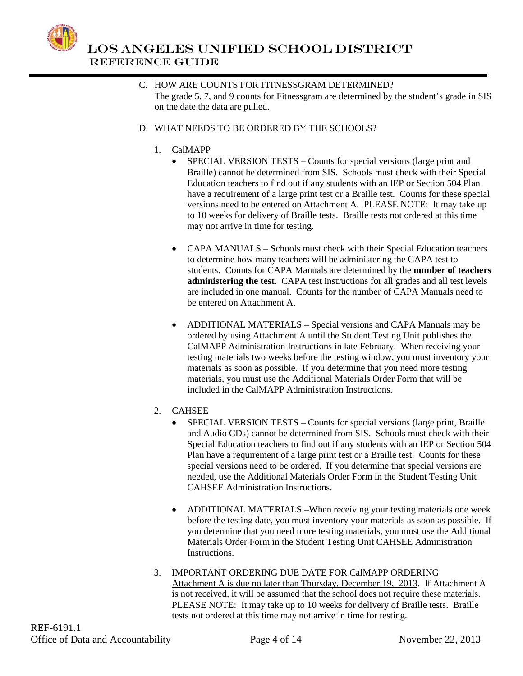

- C. HOW ARE COUNTS FOR FITNESSGRAM DETERMINED? The grade 5, 7, and 9 counts for Fitnessgram are determined by the student's grade in SIS on the date the data are pulled.
- D. WHAT NEEDS TO BE ORDERED BY THE SCHOOLS?
	- 1. CalMAPP
		- SPECIAL VERSION TESTS Counts for special versions (large print and Braille) cannot be determined from SIS. Schools must check with their Special Education teachers to find out if any students with an IEP or Section 504 Plan have a requirement of a large print test or a Braille test. Counts for these special versions need to be entered on Attachment A. PLEASE NOTE: It may take up to 10 weeks for delivery of Braille tests. Braille tests not ordered at this time may not arrive in time for testing.
		- CAPA MANUALS Schools must check with their Special Education teachers to determine how many teachers will be administering the CAPA test to students. Counts for CAPA Manuals are determined by the **number of teachers administering the test**. CAPA test instructions for all grades and all test levels are included in one manual. Counts for the number of CAPA Manuals need to be entered on Attachment A.
		- ADDITIONAL MATERIALS Special versions and CAPA Manuals may be ordered by using Attachment A until the Student Testing Unit publishes the CalMAPP Administration Instructions in late February. When receiving your testing materials two weeks before the testing window, you must inventory your materials as soon as possible. If you determine that you need more testing materials, you must use the Additional Materials Order Form that will be included in the CalMAPP Administration Instructions.
	- 2. CAHSEE
		- SPECIAL VERSION TESTS Counts for special versions (large print, Braille and Audio CDs) cannot be determined from SIS. Schools must check with their Special Education teachers to find out if any students with an IEP or Section 504 Plan have a requirement of a large print test or a Braille test. Counts for these special versions need to be ordered. If you determine that special versions are needed, use the Additional Materials Order Form in the Student Testing Unit CAHSEE Administration Instructions.
		- ADDITIONAL MATERIALS When receiving your testing materials one week before the testing date, you must inventory your materials as soon as possible. If you determine that you need more testing materials, you must use the Additional Materials Order Form in the Student Testing Unit CAHSEE Administration **Instructions**
	- 3. IMPORTANT ORDERING DUE DATE FOR CalMAPP ORDERING Attachment A is due no later than Thursday, December 19, 2013. If Attachment A is not received, it will be assumed that the school does not require these materials. PLEASE NOTE: It may take up to 10 weeks for delivery of Braille tests. Braille tests not ordered at this time may not arrive in time for testing.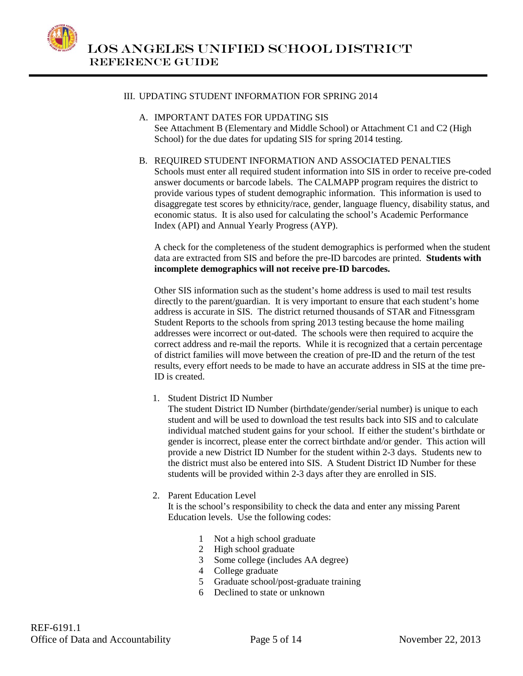

# III. UPDATING STUDENT INFORMATION FOR SPRING 2014

- A. IMPORTANT DATES FOR UPDATING SIS See Attachment B (Elementary and Middle School) or Attachment C1 and C2 (High School) for the due dates for updating SIS for spring 2014 testing.
- B. REQUIRED STUDENT INFORMATION AND ASSOCIATED PENALTIES Schools must enter all required student information into SIS in order to receive pre-coded answer documents or barcode labels. The CALMAPP program requires the district to provide various types of student demographic information. This information is used to disaggregate test scores by ethnicity/race, gender, language fluency, disability status, and economic status. It is also used for calculating the school's Academic Performance Index (API) and Annual Yearly Progress (AYP).

A check for the completeness of the student demographics is performed when the student data are extracted from SIS and before the pre-ID barcodes are printed. **Students with incomplete demographics will not receive pre-ID barcodes.**

Other SIS information such as the student's home address is used to mail test results directly to the parent/guardian. It is very important to ensure that each student's home address is accurate in SIS. The district returned thousands of STAR and Fitnessgram Student Reports to the schools from spring 2013 testing because the home mailing addresses were incorrect or out-dated. The schools were then required to acquire the correct address and re-mail the reports. While it is recognized that a certain percentage of district families will move between the creation of pre-ID and the return of the test results, every effort needs to be made to have an accurate address in SIS at the time pre-ID is created.

1. Student District ID Number

The student District ID Number (birthdate/gender/serial number) is unique to each student and will be used to download the test results back into SIS and to calculate individual matched student gains for your school. If either the student's birthdate or gender is incorrect, please enter the correct birthdate and/or gender. This action will provide a new District ID Number for the student within 2-3 days. Students new to the district must also be entered into SIS. A Student District ID Number for these students will be provided within 2-3 days after they are enrolled in SIS.

2. Parent Education Level

It is the school's responsibility to check the data and enter any missing Parent Education levels. Use the following codes:

- 1 Not a high school graduate
- 2 High school graduate
- 3 Some college (includes AA degree)
- 4 College graduate
- 5 Graduate school/post-graduate training
- 6 Declined to state or unknown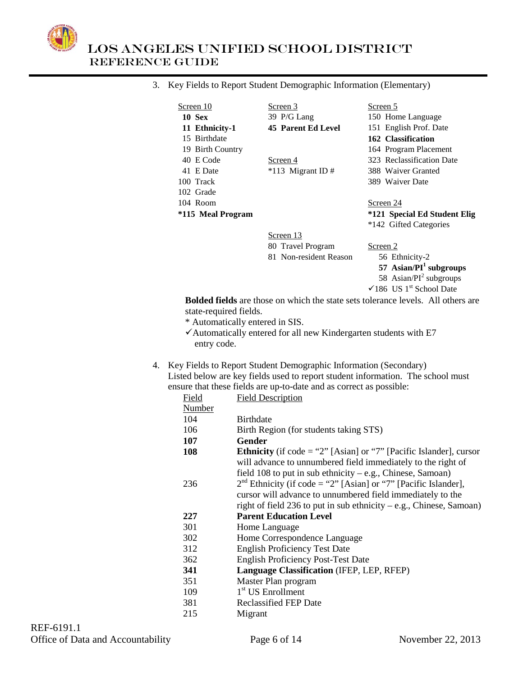

| Screen 10         | Screen 3                                                                                | Screen 5                                        |
|-------------------|-----------------------------------------------------------------------------------------|-------------------------------------------------|
| <b>10 Sex</b>     | 39 P/G Lang                                                                             | 150 Home Language                               |
| 11 Ethnicity-1    | <b>45 Parent Ed Level</b>                                                               | 151 English Prof. Date                          |
| 15 Birthdate      |                                                                                         | 162 Classification                              |
| 19 Birth Country  |                                                                                         | 164 Program Placement                           |
| 40 E Code         | Screen 4                                                                                | 323 Reclassification Date                       |
| 41 E Date         | $*113$ Migrant ID #                                                                     | 388 Waiver Granted                              |
| 100 Track         |                                                                                         | 389 Waiver Date                                 |
| 102 Grade         |                                                                                         |                                                 |
| 104 Room          |                                                                                         | Screen 24                                       |
| *115 Meal Program |                                                                                         | *121 Special Ed Student Elig                    |
|                   |                                                                                         | *142 Gifted Categories                          |
|                   | Screen 13                                                                               |                                                 |
|                   | 80 Travel Program                                                                       | Screen 2                                        |
|                   | 81 Non-resident Reason                                                                  | 56 Ethnicity-2                                  |
|                   |                                                                                         | 57 Asian/ $PI1$ subgroups                       |
|                   |                                                                                         | 58 Asian/ $PI^2$ subgroups                      |
|                   |                                                                                         | $\checkmark$ 186 US 1 <sup>st</sup> School Date |
|                   | <b>Bolded fields</b> are those on which the state sets tolerance levels. All others are |                                                 |

**Bolded fields** are those on which the state sets tolerance levels. All others are state-required fields.

- \* Automatically entered in SIS.
- $\checkmark$  Automatically entered for all new Kindergarten students with E7 entry code.
- 4. Key Fields to Report Student Demographic Information (Secondary) Listed below are key fields used to report student information. The school must ensure that these fields are up-to-date and as correct as possible:

| Field  | <b>Field Description</b>                                                  |
|--------|---------------------------------------------------------------------------|
| Number |                                                                           |
| 104    | <b>Birthdate</b>                                                          |
| 106    | Birth Region (for students taking STS)                                    |
| 107    | Gender                                                                    |
| 108    | <b>Ethnicity</b> (if code = "2" [Asian] or "7" [Pacific Islander], cursor |
|        | will advance to unnumbered field immediately to the right of              |
|        | field 108 to put in sub ethnicity $-e.g.,$ Chinese, Samoan)               |
| 236    | $2^{nd}$ Ethnicity (if code = "2" [Asian] or "7" [Pacific Islander],      |
|        | cursor will advance to unnumbered field immediately to the                |
|        | right of field 236 to put in sub ethnicity $-e.g.,$ Chinese, Samoan)      |
| 227    | <b>Parent Education Level</b>                                             |
| 301    | Home Language                                                             |
| 302    | Home Correspondence Language                                              |
| 312    | <b>English Proficiency Test Date</b>                                      |
| 362    | <b>English Proficiency Post-Test Date</b>                                 |
| 341    | Language Classification (IFEP, LEP, RFEP)                                 |
| 351    | Master Plan program                                                       |
| 109    | $1st$ US Enrollment                                                       |
| 381    | <b>Reclassified FEP Date</b>                                              |
| 215    | Migrant                                                                   |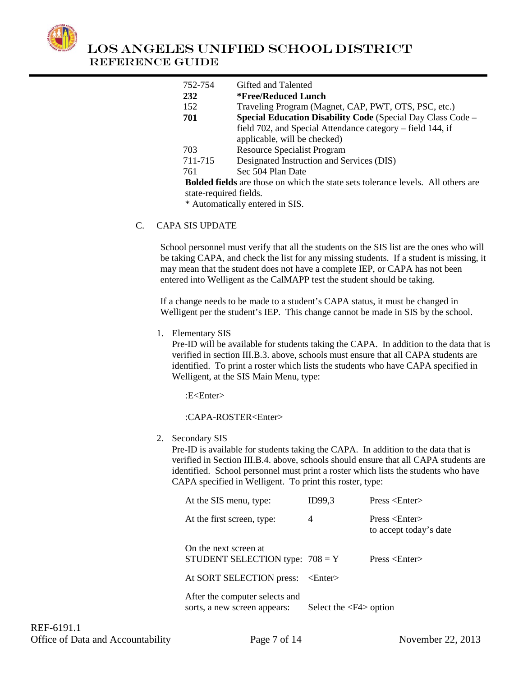

| 752-754                                                                                 | Gifted and Talented                                                |  |
|-----------------------------------------------------------------------------------------|--------------------------------------------------------------------|--|
| 232                                                                                     | *Free/Reduced Lunch                                                |  |
| 152                                                                                     | Traveling Program (Magnet, CAP, PWT, OTS, PSC, etc.)               |  |
| 701                                                                                     | <b>Special Education Disability Code (Special Day Class Code –</b> |  |
|                                                                                         | field 702, and Special Attendance category – field 144, if         |  |
|                                                                                         | applicable, will be checked)                                       |  |
| 703                                                                                     | <b>Resource Specialist Program</b>                                 |  |
| 711-715                                                                                 | Designated Instruction and Services (DIS)                          |  |
| 761                                                                                     | Sec 504 Plan Date                                                  |  |
| <b>Bolded fields</b> are those on which the state sets tolerance levels. All others are |                                                                    |  |
| state-required fields.                                                                  |                                                                    |  |
|                                                                                         |                                                                    |  |

\* Automatically entered in SIS.

# C. CAPA SIS UPDATE

School personnel must verify that all the students on the SIS list are the ones who will be taking CAPA, and check the list for any missing students. If a student is missing, it may mean that the student does not have a complete IEP, or CAPA has not been entered into Welligent as the CalMAPP test the student should be taking.

If a change needs to be made to a student's CAPA status, it must be changed in Welligent per the student's IEP. This change cannot be made in SIS by the school.

1. Elementary SIS

Pre-ID will be available for students taking the CAPA. In addition to the data that is verified in section III.B.3. above, schools must ensure that all CAPA students are identified. To print a roster which lists the students who have CAPA specified in Welligent, at the SIS Main Menu, type:

:E<Enter>

:CAPA-ROSTER<Enter>

2. Secondary SIS

Pre-ID is available for students taking the CAPA. In addition to the data that is verified in Section III.B.4. above, schools should ensure that all CAPA students are identified. School personnel must print a roster which lists the students who have CAPA specified in Welligent. To print this roster, type:

| At the SIS menu, type:                                         | ID99,3                             | $Press <$ Enter $>$                           |
|----------------------------------------------------------------|------------------------------------|-----------------------------------------------|
| At the first screen, type:                                     | 4                                  | $Press <$ Enter $>$<br>to accept today's date |
| On the next screen at<br>STUDENT SELECTION type: $708 = Y$     |                                    | $Press <$ Enter $>$                           |
| At SORT SELECTION press: <enter></enter>                       |                                    |                                               |
| After the computer selects and<br>sorts, a new screen appears: | Select the $\langle$ F4 $>$ option |                                               |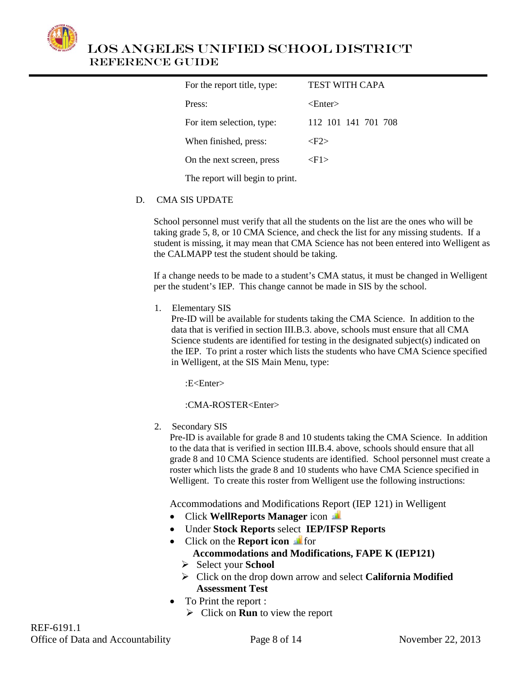

| For the report title, type:     | TEST WITH CAPA      |  |
|---------------------------------|---------------------|--|
| Press:                          | $\leq$ Enter $>$    |  |
| For item selection, type:       | 112 101 141 701 708 |  |
| When finished, press:           | $<$ F2 $>$          |  |
| On the next screen, press       | $<$ F1 $>$          |  |
| The report will begin to print. |                     |  |

# D. CMA SIS UPDATE

School personnel must verify that all the students on the list are the ones who will be taking grade 5, 8, or 10 CMA Science, and check the list for any missing students. If a student is missing, it may mean that CMA Science has not been entered into Welligent as the CALMAPP test the student should be taking.

If a change needs to be made to a student's CMA status, it must be changed in Welligent per the student's IEP. This change cannot be made in SIS by the school.

1. Elementary SIS

Pre-ID will be available for students taking the CMA Science. In addition to the data that is verified in section III.B.3. above, schools must ensure that all CMA Science students are identified for testing in the designated subject(s) indicated on the IEP. To print a roster which lists the students who have CMA Science specified in Welligent, at the SIS Main Menu, type:

:E<Enter>

:CMA-ROSTER<Enter>

2. Secondary SIS

Pre-ID is available for grade 8 and 10 students taking the CMA Science. In addition to the data that is verified in section III.B.4. above, schools should ensure that all grade 8 and 10 CMA Science students are identified. School personnel must create a roster which lists the grade 8 and 10 students who have CMA Science specified in Welligent. To create this roster from Welligent use the following instructions:

Accommodations and Modifications Report (IEP 121) in Welligent

- Click **WellReports Manager** icon
- Under **Stock Reports** select **IEP/IFSP Reports**
- Click on the **Report icon for Accommodations and Modifications, FAPE K (IEP121)**
	- Select your **School**
	- Click on the drop down arrow and select **California Modified Assessment Test**
- To Print the report :
	- Click on **Run** to view the report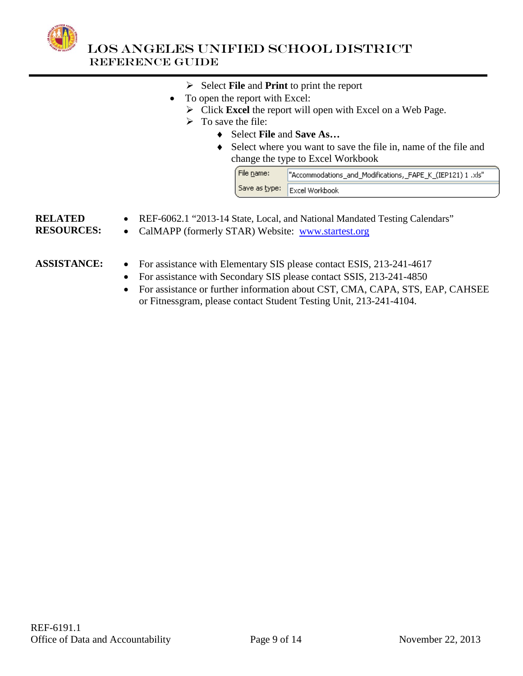

- Select **File** and **Print** to print the report
- To open the report with Excel:
	- Click **Excel** the report will open with Excel on a Web Page.
	- $\triangleright$  To save the file:
		- ♦ Select **File** and **Save As…**
		- ♦ Select where you want to save the file in, name of the file and change the type to Excel Workbook

| [ File name:            | "Accommodations_and_Modifications,_FAPE_K_(IEP121) 1 .xls" |
|-------------------------|------------------------------------------------------------|
| Save as <u>t</u> ype: - | <b>Excel Workbook</b>                                      |

# **RELATED RESOURCES:**

- REF-6062.1 "2013-14 State, Local, and National Mandated Testing Calendars"
- CalMAPP (formerly STAR) Website: www.startest.org

- **ASSISTANCE:** For assistance with Elementary SIS please contact ESIS, 213-241-4617
	- For assistance with Secondary SIS please contact SSIS, 213-241-4850
	- For assistance or further information about CST, CMA, CAPA, STS, EAP, CAHSEE or Fitnessgram, please contact Student Testing Unit, 213-241-4104.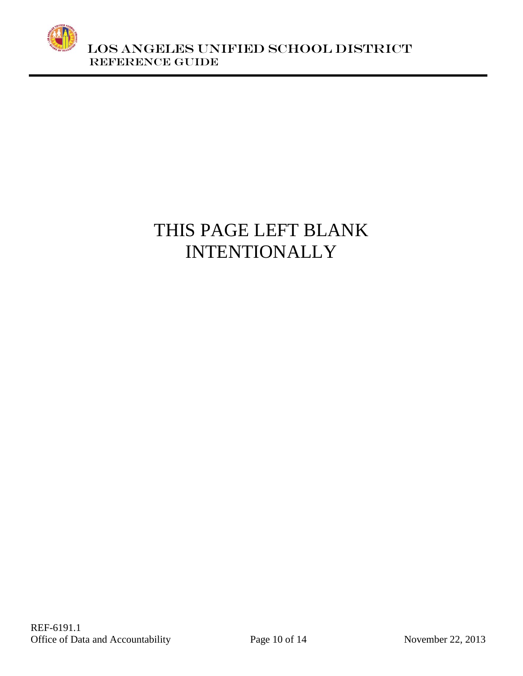

# THIS PAGE LEFT BLANK **INTENTIONALLY**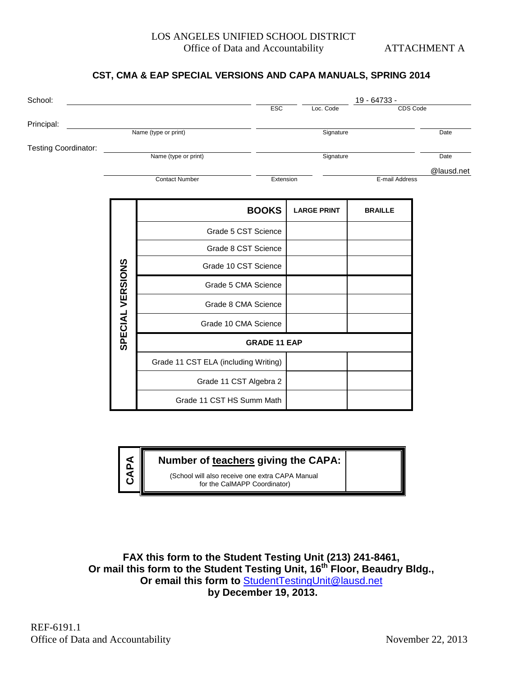# **CST, CMA & EAP SPECIAL VERSIONS AND CAPA MANUALS, SPRING 2014**

| School:              |                  |                                      |                     |                    | 19 - 64733 -   |            |
|----------------------|------------------|--------------------------------------|---------------------|--------------------|----------------|------------|
|                      |                  |                                      | <b>ESC</b>          | Loc. Code          | CDS Code       |            |
| Principal:           |                  |                                      |                     |                    |                |            |
|                      |                  | Name (type or print)                 |                     | Signature          |                | Date       |
| Testing Coordinator: |                  | Name (type or print)                 |                     | Signature          |                | Date       |
|                      |                  |                                      |                     |                    |                | @lausd.net |
|                      |                  | <b>Contact Number</b>                | Extension           |                    | E-mail Address |            |
|                      |                  |                                      |                     |                    |                |            |
|                      |                  |                                      | <b>BOOKS</b>        | <b>LARGE PRINT</b> | <b>BRAILLE</b> |            |
|                      |                  | Grade 5 CST Science                  |                     |                    |                |            |
|                      |                  | Grade 8 CST Science                  |                     |                    |                |            |
|                      |                  | Grade 10 CST Science                 |                     |                    |                |            |
|                      | SPECIAL VERSIONS | Grade 5 CMA Science                  |                     |                    |                |            |
|                      |                  | Grade 8 CMA Science                  |                     |                    |                |            |
|                      |                  | Grade 10 CMA Science                 |                     |                    |                |            |
|                      |                  |                                      | <b>GRADE 11 EAP</b> |                    |                |            |
|                      |                  | Grade 11 CST ELA (including Writing) |                     |                    |                |            |
|                      |                  | Grade 11 CST Algebra 2               |                     |                    |                |            |
|                      |                  | Grade 11 CST HS Summ Math            |                     |                    |                |            |

| Number of teachers giving the CAPA:                                             |  |
|---------------------------------------------------------------------------------|--|
| (School will also receive one extra CAPA Manual<br>for the CalMAPP Coordinator) |  |

**FAX this form to the Student Testing Unit (213) 241-8461, Or mail this form to the Student Testing Unit, 16th Floor, Beaudry Bldg., Or email this form to** StudentTestingUnit@lausd.net **by December 19, 2013.**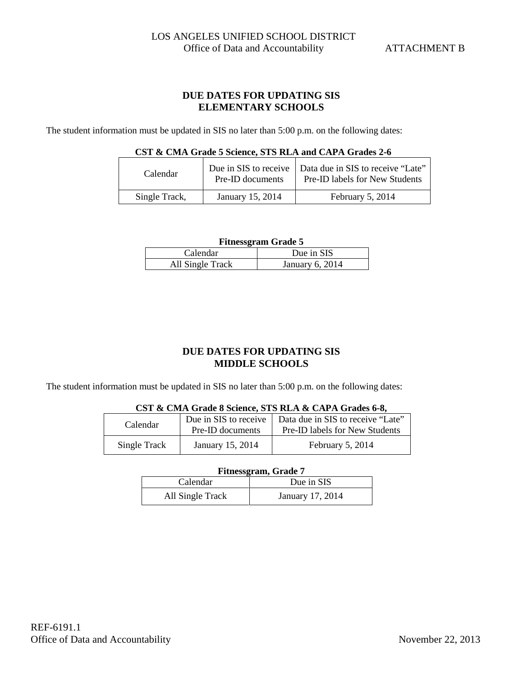# **DUE DATES FOR UPDATING SIS ELEMENTARY SCHOOLS**

The student information must be updated in SIS no later than 5:00 p.m. on the following dates:

# **CST & CMA Grade 5 Science, STS RLA and CAPA Grades 2-6**

| Calendar      | Pre-ID documents | Due in SIS to receive   Data due in SIS to receive "Late"<br>Pre-ID labels for New Students |
|---------------|------------------|---------------------------------------------------------------------------------------------|
| Single Track, | January 15, 2014 | February 5, 2014                                                                            |

#### **Fitnessgram Grade 5**

| Thursday, and Orace of |                 |  |
|------------------------|-----------------|--|
| Calendar               | Due in SIS      |  |
| All Single Track       | January 6, 2014 |  |

# **DUE DATES FOR UPDATING SIS MIDDLE SCHOOLS**

The student information must be updated in SIS no later than 5:00 p.m. on the following dates:

| CST & CMA Graue o Science, STS KLA & CAI A Graues 0-0, |                       |                                   |  |  |
|--------------------------------------------------------|-----------------------|-----------------------------------|--|--|
| Calendar                                               | Due in SIS to receive | Data due in SIS to receive "Late" |  |  |
|                                                        | Pre-ID documents      | Pre-ID labels for New Students    |  |  |
| Single Track                                           | January 15, 2014      | February 5, 2014                  |  |  |

# **CST & CMA Grade 8 Science, STS RLA & CAPA Grades 6-8,**

# **Fitnessgram, Grade 7**

| --------<br>------- |                  |  |
|---------------------|------------------|--|
| Calendar            | Due in SIS       |  |
| All Single Track    | January 17, 2014 |  |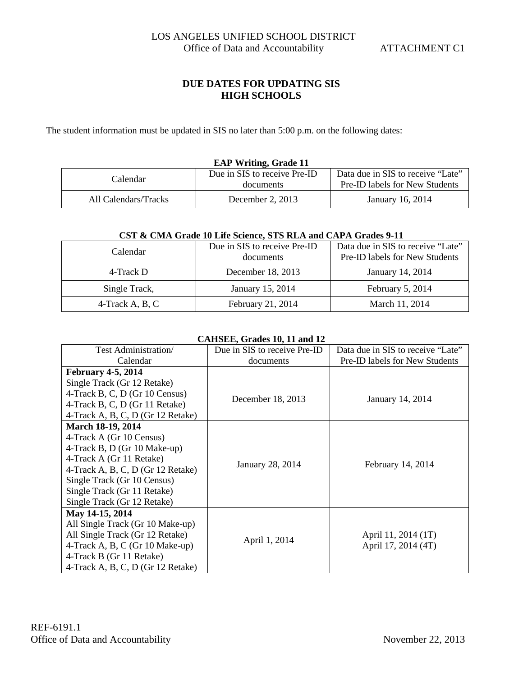# **DUE DATES FOR UPDATING SIS HIGH SCHOOLS**

The student information must be updated in SIS no later than 5:00 p.m. on the following dates:

#### **EAP Writing, Grade 11**

| Calendar             | Due in SIS to receive Pre-ID<br>documents | Data due in SIS to receive "Late"<br>Pre-ID labels for New Students |
|----------------------|-------------------------------------------|---------------------------------------------------------------------|
| All Calendars/Tracks | December 2, 2013                          | January 16, 2014                                                    |

## **CST & CMA Grade 10 Life Science, STS RLA and CAPA Grades 9-11**

| Calendar           | Due in SIS to receive Pre-ID<br>documents | Data due in SIS to receive "Late"<br>Pre-ID labels for New Students |
|--------------------|-------------------------------------------|---------------------------------------------------------------------|
| 4-Track D          | December 18, 2013                         | January 14, 2014                                                    |
| Single Track,      | January 15, 2014                          | February 5, 2014                                                    |
| $4$ -Track A, B, C | February 21, 2014                         | March 11, 2014                                                      |

# **CAHSEE, Grades 10, 11 and 12**

| Test Administration/              | Due in SIS to receive Pre-ID | Data due in SIS to receive "Late" |
|-----------------------------------|------------------------------|-----------------------------------|
| Calendar                          | documents                    | Pre-ID labels for New Students    |
| <b>February 4-5, 2014</b>         |                              |                                   |
| Single Track (Gr 12 Retake)       |                              |                                   |
| 4-Track B, C, D (Gr 10 Census)    | December 18, 2013            |                                   |
| 4-Track B, C, D (Gr 11 Retake)    |                              | January 14, 2014                  |
| 4-Track A, B, C, D (Gr 12 Retake) |                              |                                   |
| <b>March 18-19, 2014</b>          |                              |                                   |
| 4-Track A (Gr 10 Census)          |                              |                                   |
| 4-Track B, D (Gr 10 Make-up)      |                              |                                   |
| 4-Track A (Gr 11 Retake)          | January 28, 2014             | February 14, 2014                 |
| 4-Track A, B, C, D (Gr 12 Retake) |                              |                                   |
| Single Track (Gr 10 Census)       |                              |                                   |
| Single Track (Gr 11 Retake)       |                              |                                   |
| Single Track (Gr 12 Retake)       |                              |                                   |
| May 14-15, 2014                   |                              |                                   |
| All Single Track (Gr 10 Make-up)  |                              |                                   |
| All Single Track (Gr 12 Retake)   |                              | April 11, 2014 (1T)               |
| 4-Track A, B, C (Gr 10 Make-up)   | April 1, 2014                | April 17, 2014 (4T)               |
| 4-Track B (Gr 11 Retake)          |                              |                                   |
| 4-Track A, B, C, D (Gr 12 Retake) |                              |                                   |